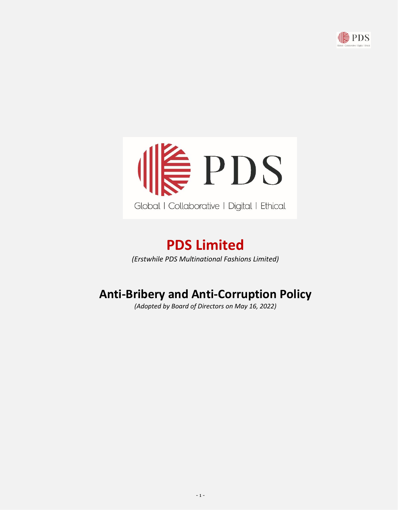



# **PDS Limited**

*(Erstwhile PDS Multinational Fashions Limited)*

## **Anti-Bribery and Anti-Corruption Policy**

*(Adopted by Board of Directors on May 16, 2022)*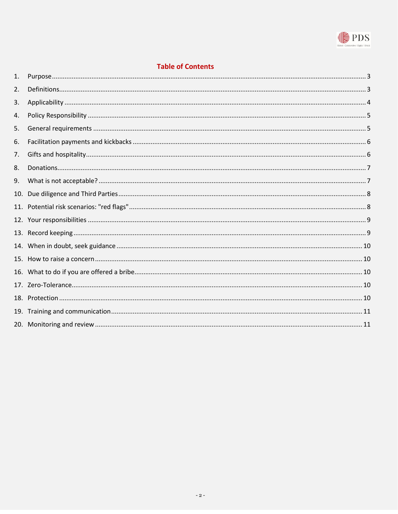

## **Table of Contents**

| 1.  |  |
|-----|--|
| 2.  |  |
| 3.  |  |
| 4.  |  |
| 5.  |  |
| 6.  |  |
| 7.  |  |
| 8.  |  |
| 9.  |  |
| 10. |  |
|     |  |
|     |  |
|     |  |
|     |  |
|     |  |
|     |  |
|     |  |
|     |  |
|     |  |
|     |  |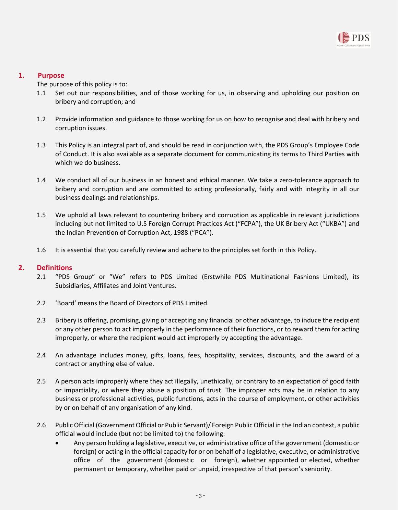

## <span id="page-2-0"></span>**1. Purpose**

The purpose of this policy is to:

- 1.1 Set out our responsibilities, and of those working for us, in observing and upholding our position on bribery and corruption; and
- 1.2 Provide information and guidance to those working for us on how to recognise and deal with bribery and corruption issues.
- 1.3 This Policy is an integral part of, and should be read in conjunction with, the PDS Group's Employee Code of Conduct. It is also available as a separate document for communicating its terms to Third Parties with which we do business.
- 1.4 We conduct all of our business in an honest and ethical manner. We take a zero-tolerance approach to bribery and corruption and are committed to acting professionally, fairly and with integrity in all our business dealings and relationships.
- 1.5 We uphold all laws relevant to countering bribery and corruption as applicable in relevant jurisdictions including but not limited to U.S Foreign Corrupt Practices Act ("FCPA"), the UK Bribery Act ("UKBA") and the Indian Prevention of Corruption Act, 1988 ("PCA").
- 1.6 It is essential that you carefully review and adhere to the principles set forth in this Policy.

## <span id="page-2-1"></span>**2. Definitions**

- 2.1 "PDS Group" or "We" refers to PDS Limited (Erstwhile PDS Multinational Fashions Limited), its Subsidiaries, Affiliates and Joint Ventures.
- 2.2 'Board' means the Board of Directors of PDS Limited.
- 2.3 Bribery is offering, promising, giving or accepting any financial or other advantage, to induce the recipient or any other person to act improperly in the performance of their functions, or to reward them for acting improperly, or where the recipient would act improperly by accepting the advantage.
- 2.4 An advantage includes money, gifts, loans, fees, hospitality, services, discounts, and the award of a contract or anything else of value.
- 2.5 A person acts improperly where they act illegally, unethically, or contrary to an expectation of good faith or impartiality, or where they abuse a position of trust. The improper acts may be in relation to any business or professional activities, public functions, acts in the course of employment, or other activities by or on behalf of any organisation of any kind.
- 2.6 Public Official (Government Official or Public Servant)/ Foreign Public Official in the Indian context, a public official would include (but not be limited to) the following:
	- Any person holding a legislative, executive, or administrative office of the government (domestic or foreign) or acting in the official capacity for or on behalf of a legislative, executive, or administrative office of the government (domestic or foreign), whether appointed or elected, whether permanent or temporary, whether paid or unpaid, irrespective of that person's seniority.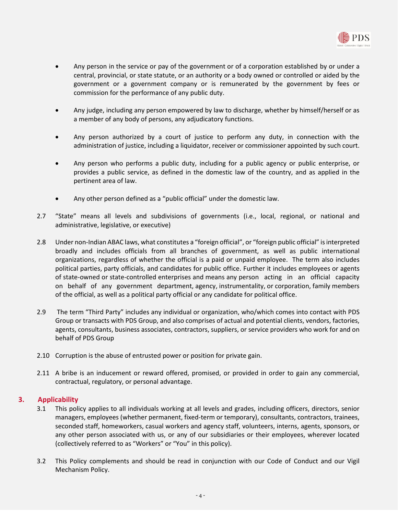

- Any person in the service or pay of the government or of a corporation established by or under a central, provincial, or state statute, or an authority or a body owned or controlled or aided by the government or a government company or is remunerated by the government by fees or commission for the performance of any public duty.
- Any judge, including any person empowered by law to discharge, whether by himself/herself or as a member of any body of persons, any adjudicatory functions.
- Any person authorized by a court of justice to perform any duty, in connection with the administration of justice, including a liquidator, receiver or commissioner appointed by such court.
- Any person who performs a public duty, including for a public agency or public enterprise, or provides a public service, as defined in the domestic law of the country, and as applied in the pertinent area of law.
- Any other person defined as a "public official" under the domestic law.
- 2.7 "State" means all levels and subdivisions of governments (i.e., local, regional, or national and administrative, legislative, or executive)
- 2.8 Under non-Indian ABAC laws, what constitutes a "foreign official", or "foreign public official" is interpreted broadly and includes officials from all branches of government, as well as public international organizations, regardless of whether the official is a paid or unpaid employee. The term also includes political parties, party officials, and candidates for public office. Further it includes employees or agents of state-owned or state-controlled enterprises and means any person acting in an official capacity on behalf of any government department, agency, instrumentality, or corporation, family members of the official, as well as a political party official or any candidate for political office.
- 2.9 The term "Third Party" includes any individual or organization, who/which comes into contact with PDS Group or transacts with PDS Group, and also comprises of actual and potential clients, vendors, factories, agents, consultants, business associates, contractors, suppliers, or service providers who work for and on behalf of PDS Group
- 2.10 Corruption is the abuse of entrusted power or position for private gain.
- 2.11 A bribe is an inducement or reward offered, promised, or provided in order to gain any commercial, contractual, regulatory, or personal advantage.

## <span id="page-3-0"></span>**3. Applicability**

- 3.1 This policy applies to all individuals working at all levels and grades, including officers, directors, senior managers, employees (whether permanent, fixed-term or temporary), consultants, contractors, trainees, seconded staff, homeworkers, casual workers and agency staff, volunteers, interns, agents, sponsors, or any other person associated with us, or any of our subsidiaries or their employees, wherever located (collectively referred to as "Workers" or "You" in this policy).
- 3.2 This Policy complements and should be read in conjunction with our Code of Conduct and our Vigil Mechanism Policy.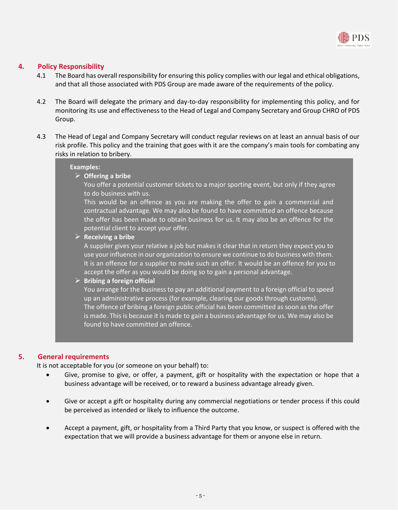

## <span id="page-4-0"></span>**4. Policy Responsibility**

- 4.1 The Board has overall responsibility for ensuring this policy complies with our legal and ethical obligations, and that all those associated with PDS Group are made aware of the requirements of the policy.
- 4.2 The Board will delegate the primary and day-to-day responsibility for implementing this policy, and for monitoring its use and effectiveness to the Head of Legal and Company Secretary and Group CHRO of PDS Group.
- 4.3 The Head of Legal and Company Secretary will conduct regular reviews on at least an annual basis of our risk profile. This policy and the training that goes with it are the company's main tools for combating any risks in relation to bribery.

#### **Examples:**

➢ **Offering a bribe** 

You offer a potential customer tickets to a major sporting event, but only if they agree to do business with us.

This would be an offence as you are making the offer to gain a commercial and contractual advantage. We may also be found to have committed an offence because the offer has been made to obtain business for us. It may also be an offence for the potential client to accept your offer.

#### ➢ **Receiving a bribe**

A supplier gives your relative a job but makes it clear that in return they expect you to use your influence in our organization to ensure we continue to do business with them. It is an offence for a supplier to make such an offer. It would be an offence for you to accept the offer as you would be doing so to gain a personal advantage.

## ➢ **Bribing a foreign official**

You arrange for the business to pay an additional payment to a foreign official to speed up an administrative process (for example, clearing our goods through customs). The offence of bribing a foreign public official has been committed as soon as the offer is made. This is because it is made to gain a business advantage for us. We may also be found to have committed an offence.

## <span id="page-4-1"></span>**5. General requirements**

It is not acceptable for you (or someone on your behalf) to:

- Give, promise to give, or offer, a payment, gift or hospitality with the expectation or hope that a business advantage will be received, or to reward a business advantage already given.
- Give or accept a gift or hospitality during any commercial negotiations or tender process if this could be perceived as intended or likely to influence the outcome.
- Accept a payment, gift, or hospitality from a Third Party that you know, or suspect is offered with the expectation that we will provide a business advantage for them or anyone else in return.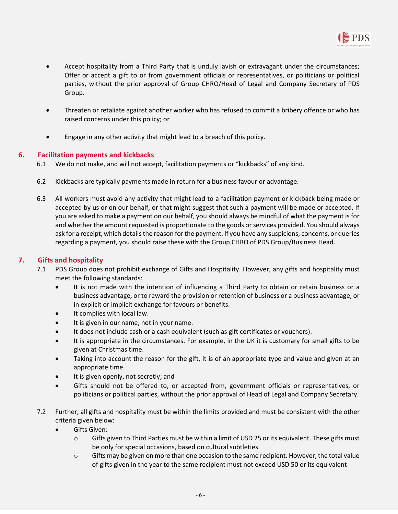

- Accept hospitality from a Third Party that is unduly lavish or extravagant under the circumstances; Offer or accept a gift to or from government officials or representatives, or politicians or political parties, without the prior approval of Group CHRO/Head of Legal and Company Secretary of PDS Group.
- Threaten or retaliate against another worker who has refused to commit a bribery offence or who has raised concerns under this policy; or
- Engage in any other activity that might lead to a breach of this policy.

## <span id="page-5-0"></span>**6. Facilitation payments and kickbacks**

- 6.1 We do not make, and will not accept, facilitation payments or "kickbacks" of any kind.
- 6.2 Kickbacks are typically payments made in return for a business favour or advantage.
- 6.3 All workers must avoid any activity that might lead to a facilitation payment or kickback being made or accepted by us or on our behalf, or that might suggest that such a payment will be made or accepted. If you are asked to make a payment on our behalf, you should always be mindful of what the payment is for and whether the amount requested is proportionate to the goods or services provided. You should always ask for a receipt, which details the reason for the payment. If you have any suspicions, concerns, or queries regarding a payment, you should raise these with the Group CHRO of PDS Group/Business Head.

## <span id="page-5-1"></span>**7. Gifts and hospitality**

- 7.1 PDS Group does not prohibit exchange of Gifts and Hospitality. However, any gifts and hospitality must meet the following standards:
	- It is not made with the intention of influencing a Third Party to obtain or retain business or a business advantage, or to reward the provision or retention of business or a business advantage, or in explicit or implicit exchange for favours or benefits.
	- It complies with local law.
	- It is given in our name, not in your name.
	- It does not include cash or a cash equivalent (such as gift certificates or vouchers).
	- It is appropriate in the circumstances. For example, in the UK it is customary for small gifts to be given at Christmas time.
	- Taking into account the reason for the gift, it is of an appropriate type and value and given at an appropriate time.
	- It is given openly, not secretly; and
	- Gifts should not be offered to, or accepted from, government officials or representatives, or politicians or political parties, without the prior approval of Head of Legal and Company Secretary.
- 7.2 Further, all gifts and hospitality must be within the limits provided and must be consistent with the other criteria given below:
	- Gifts Given:
		- $\circ$  Gifts given to Third Parties must be within a limit of USD 25 or its equivalent. These gifts must be only for special occasions, based on cultural subtleties.
		- $\circ$  Gifts may be given on more than one occasion to the same recipient. However, the total value of gifts given in the year to the same recipient must not exceed USD 50 or its equivalent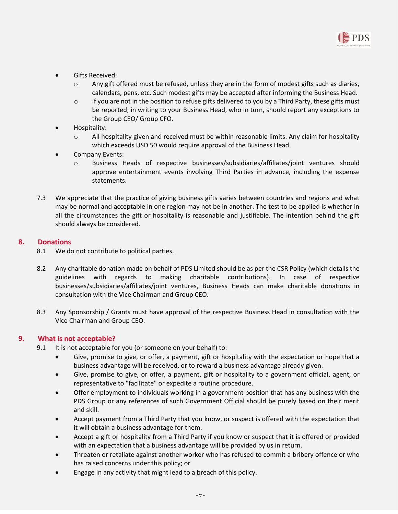

- Gifts Received:
	- $\circ$  Any gift offered must be refused, unless they are in the form of modest gifts such as diaries, calendars, pens, etc. Such modest gifts may be accepted after informing the Business Head.
	- $\circ$  If you are not in the position to refuse gifts delivered to you by a Third Party, these gifts must be reported, in writing to your Business Head, who in turn, should report any exceptions to the Group CEO/ Group CFO.
- Hospitality:
	- $\circ$  All hospitality given and received must be within reasonable limits. Any claim for hospitality which exceeds USD 50 would require approval of the Business Head.
- Company Events:
	- o Business Heads of respective businesses/subsidiaries/affiliates/joint ventures should approve entertainment events involving Third Parties in advance, including the expense statements.
- 7.3 We appreciate that the practice of giving business gifts varies between countries and regions and what may be normal and acceptable in one region may not be in another. The test to be applied is whether in all the circumstances the gift or hospitality is reasonable and justifiable. The intention behind the gift should always be considered.

## <span id="page-6-0"></span>**8. Donations**

- 8.1 We do not contribute to political parties.
- 8.2 Any charitable donation made on behalf of PDS Limited should be as per the CSR Policy (which details the guidelines with regards to making charitable contributions). In case of respective businesses/subsidiaries/affiliates/joint ventures, Business Heads can make charitable donations in consultation with the Vice Chairman and Group CEO.
- 8.3 Any Sponsorship / Grants must have approval of the respective Business Head in consultation with the Vice Chairman and Group CEO.

## <span id="page-6-1"></span>**9. What is not acceptable?**

- 9.1 It is not acceptable for you (or someone on your behalf) to:
	- Give, promise to give, or offer, a payment, gift or hospitality with the expectation or hope that a business advantage will be received, or to reward a business advantage already given.
	- Give, promise to give, or offer, a payment, gift or hospitality to a government official, agent, or representative to "facilitate" or expedite a routine procedure.
	- Offer employment to individuals working in a government position that has any business with the PDS Group or any references of such Government Official should be purely based on their merit and skill.
	- Accept payment from a Third Party that you know, or suspect is offered with the expectation that it will obtain a business advantage for them.
	- Accept a gift or hospitality from a Third Party if you know or suspect that it is offered or provided with an expectation that a business advantage will be provided by us in return.
	- Threaten or retaliate against another worker who has refused to commit a bribery offence or who has raised concerns under this policy; or
	- Engage in any activity that might lead to a breach of this policy.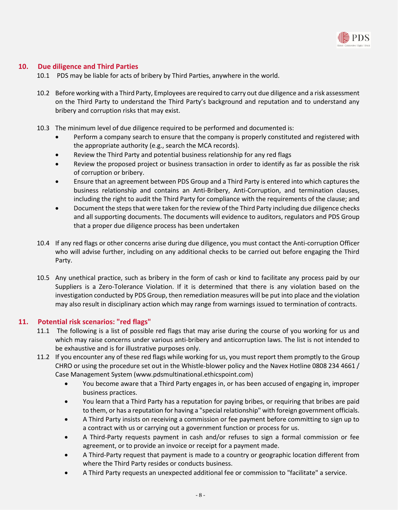

## <span id="page-7-0"></span>**10. Due diligence and Third Parties**

- 10.1 PDS may be liable for acts of bribery by Third Parties, anywhere in the world.
- 10.2 Before working with a Third Party, Employees are required to carry out due diligence and a risk assessment on the Third Party to understand the Third Party's background and reputation and to understand any bribery and corruption risks that may exist.
- 10.3 The minimum level of due diligence required to be performed and documented is:
	- Perform a company search to ensure that the company is properly constituted and registered with the appropriate authority (e.g., search the MCA records).
	- Review the Third Party and potential business relationship for any red flags
	- Review the proposed project or business transaction in order to identify as far as possible the risk of corruption or bribery.
	- Ensure that an agreement between PDS Group and a Third Party is entered into which captures the business relationship and contains an Anti-Bribery, Anti-Corruption, and termination clauses, including the right to audit the Third Party for compliance with the requirements of the clause; and
	- Document the steps that were taken for the review of the Third Party including due diligence checks and all supporting documents. The documents will evidence to auditors, regulators and PDS Group that a proper due diligence process has been undertaken
- 10.4 If any red flags or other concerns arise during due diligence, you must contact the Anti-corruption Officer who will advise further, including on any additional checks to be carried out before engaging the Third Party.
- 10.5 Any unethical practice, such as bribery in the form of cash or kind to facilitate any process paid by our Suppliers is a Zero-Tolerance Violation. If it is determined that there is any violation based on the investigation conducted by PDS Group, then remediation measures will be put into place and the violation may also result in disciplinary action which may range from warnings issued to termination of contracts.

## <span id="page-7-1"></span>**11. Potential risk scenarios: "red flags"**

- 11.1 The following is a list of possible red flags that may arise during the course of you working for us and which may raise concerns under various anti-bribery and anticorruption laws. The list is not intended to be exhaustive and is for illustrative purposes only.
- 11.2 If you encounter any of these red flags while working for us, you must report them promptly to the Group CHRO or using the procedure set out in the Whistle-blower policy and the Navex Hotline 0808 234 4661 / Case Management System [\(www.pdsmultinational.ethicspoint.com\)](http://www.pdsmultinational.ethicspoint.com/)
	- You become aware that a Third Party engages in, or has been accused of engaging in, improper business practices.
	- You learn that a Third Party has a reputation for paying bribes, or requiring that bribes are paid to them, or has a reputation for having a "special relationship" with foreign government officials.
	- A Third Party insists on receiving a commission or fee payment before committing to sign up to a contract with us or carrying out a government function or process for us.
	- A Third-Party requests payment in cash and/or refuses to sign a formal commission or fee agreement, or to provide an invoice or receipt for a payment made.
	- A Third-Party request that payment is made to a country or geographic location different from where the Third Party resides or conducts business.
	- A Third Party requests an unexpected additional fee or commission to "facilitate" a service.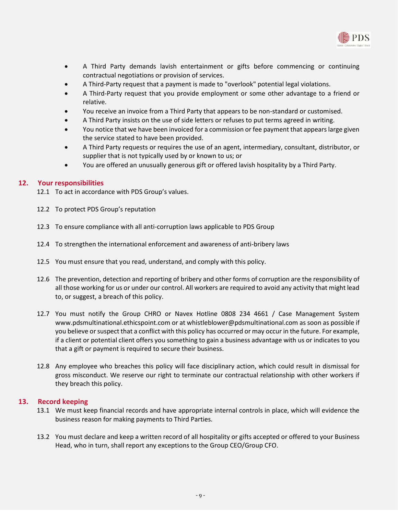

- A Third Party demands lavish entertainment or gifts before commencing or continuing contractual negotiations or provision of services.
- A Third-Party request that a payment is made to "overlook" potential legal violations.
- A Third-Party request that you provide employment or some other advantage to a friend or relative.
- You receive an invoice from a Third Party that appears to be non-standard or customised.
- A Third Party insists on the use of side letters or refuses to put terms agreed in writing.
- You notice that we have been invoiced for a commission or fee payment that appears large given the service stated to have been provided.
- A Third Party requests or requires the use of an agent, intermediary, consultant, distributor, or supplier that is not typically used by or known to us; or
- You are offered an unusually generous gift or offered lavish hospitality by a Third Party.

#### <span id="page-8-0"></span>**12. Your responsibilities**

- 12.1 To act in accordance with PDS Group's values.
- 12.2 To protect PDS Group's reputation
- 12.3 To ensure compliance with all anti-corruption laws applicable to PDS Group
- 12.4 To strengthen the international enforcement and awareness of anti-bribery laws
- 12.5 You must ensure that you read, understand, and comply with this policy.
- 12.6 The prevention, detection and reporting of bribery and other forms of corruption are the responsibility of all those working for us or under our control. All workers are required to avoid any activity that might lead to, or suggest, a breach of this policy.
- 12.7 You must notify the Group CHRO or Navex Hotline 0808 234 4661 / Case Management System www.pdsmultinational.ethicspoint.com or a[t whistleblower@pdsmultinational.com](mailto:whistleblower@pdsmultinational.com) as soon as possible if you believe or suspect that a conflict with this policy has occurred or may occur in the future. For example, if a client or potential client offers you something to gain a business advantage with us or indicates to you that a gift or payment is required to secure their business.
- 12.8 Any employee who breaches this policy will face disciplinary action, which could result in dismissal for gross misconduct. We reserve our right to terminate our contractual relationship with other workers if they breach this policy.

#### <span id="page-8-1"></span>**13. Record keeping**

- 13.1 We must keep financial records and have appropriate internal controls in place, which will evidence the business reason for making payments to Third Parties.
- 13.2 You must declare and keep a written record of all hospitality or gifts accepted or offered to your Business Head, who in turn, shall report any exceptions to the Group CEO/Group CFO.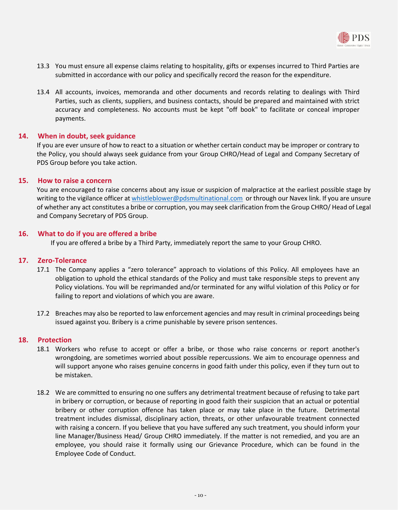

- 13.3 You must ensure all expense claims relating to hospitality, gifts or expenses incurred to Third Parties are submitted in accordance with our policy and specifically record the reason for the expenditure.
- 13.4 All accounts, invoices, memoranda and other documents and records relating to dealings with Third Parties, such as clients, suppliers, and business contacts, should be prepared and maintained with strict accuracy and completeness. No accounts must be kept "off book" to facilitate or conceal improper payments.

## <span id="page-9-0"></span>**14. When in doubt, seek guidance**

If you are ever unsure of how to react to a situation or whether certain conduct may be improper or contrary to the Policy, you should always seek guidance from your Group CHRO/Head of Legal and Company Secretary of PDS Group before you take action.

## <span id="page-9-1"></span>**15. How to raise a concern**

You are encouraged to raise concerns about any issue or suspicion of malpractice at the earliest possible stage by writing to the vigilance officer a[t whistleblower@pdsmultinational.com](mailto:whistleblower@pdsmultinational.com) or through our Navex link. If you are unsure of whether any act constitutes a bribe or corruption, you may seek clarification from the Group CHRO/ Head of Legal and Company Secretary of PDS Group.

## <span id="page-9-2"></span>**16. What to do if you are offered a bribe**

If you are offered a bribe by a Third Party, immediately report the same to your Group CHRO.

## <span id="page-9-3"></span>**17. Zero-Tolerance**

- 17.1 The Company applies a "zero tolerance" approach to violations of this Policy. All employees have an obligation to uphold the ethical standards of the Policy and must take responsible steps to prevent any Policy violations. You will be reprimanded and/or terminated for any wilful violation of this Policy or for failing to report and violations of which you are aware.
- 17.2 Breaches may also be reported to law enforcement agencies and may result in criminal proceedings being issued against you. Bribery is a crime punishable by severe prison sentences.

## <span id="page-9-4"></span>**18. Protection**

- 18.1 Workers who refuse to accept or offer a bribe, or those who raise concerns or report another's wrongdoing, are sometimes worried about possible repercussions. We aim to encourage openness and will support anyone who raises genuine concerns in good faith under this policy, even if they turn out to be mistaken.
- 18.2 We are committed to ensuring no one suffers any detrimental treatment because of refusing to take part in bribery or corruption, or because of reporting in good faith their suspicion that an actual or potential bribery or other corruption offence has taken place or may take place in the future. Detrimental treatment includes dismissal, disciplinary action, threats, or other unfavourable treatment connected with raising a concern. If you believe that you have suffered any such treatment, you should inform your line Manager/Business Head/ Group CHRO immediately. If the matter is not remedied, and you are an employee, you should raise it formally using our Grievance Procedure, which can be found in the Employee Code of Conduct.